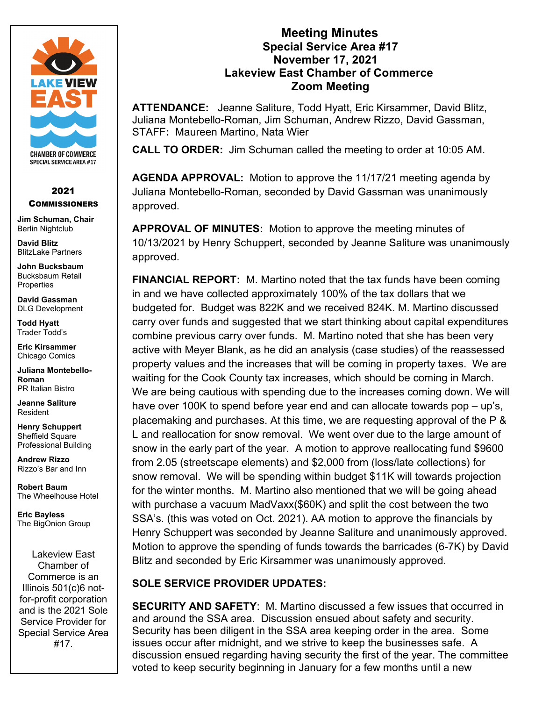

## 2021 **COMMISSIONERS**

**Jim Schuman, Chair** Berlin Nightclub

**David Blitz** BlitzLake Partners

**John Bucksbaum** Bucksbaum Retail **Properties** 

**David Gassman** DLG Development

**Todd Hyatt** Trader Todd's

**Eric Kirsammer** Chicago Comics

**Juliana Montebello-Roman** PR Italian Bistro

**Jeanne Saliture** Resident

**Henry Schuppert** Sheffield Square Professional Building

**Andrew Rizzo** Rizzo's Bar and Inn

**Robert Baum** The Wheelhouse Hotel

**Eric Bayless** The BigOnion Group

Lakeview East Chamber of Commerce is an Illinois 501(c)6 notfor-profit corporation and is the 2021 Sole Service Provider for Special Service Area #17.

## **Meeting Minutes Special Service Area #17 November 17, 2021 Lakeview East Chamber of Commerce Zoom Meeting**

**ATTENDANCE:** Jeanne Saliture, Todd Hyatt, Eric Kirsammer, David Blitz, Juliana Montebello-Roman, Jim Schuman, Andrew Rizzo, David Gassman, STAFF**:** Maureen Martino, Nata Wier

**CALL TO ORDER:** Jim Schuman called the meeting to order at 10:05 AM.

**AGENDA APPROVAL:** Motion to approve the 11/17/21 meeting agenda by Juliana Montebello-Roman, seconded by David Gassman was unanimously approved.

**APPROVAL OF MINUTES:** Motion to approve the meeting minutes of 10/13/2021 by Henry Schuppert, seconded by Jeanne Saliture was unanimously approved.

**FINANCIAL REPORT:** M. Martino noted that the tax funds have been coming in and we have collected approximately 100% of the tax dollars that we budgeted for. Budget was 822K and we received 824K. M. Martino discussed carry over funds and suggested that we start thinking about capital expenditures combine previous carry over funds. M. Martino noted that she has been very active with Meyer Blank, as he did an analysis (case studies) of the reassessed property values and the increases that will be coming in property taxes. We are waiting for the Cook County tax increases, which should be coming in March. We are being cautious with spending due to the increases coming down. We will have over 100K to spend before year end and can allocate towards pop – up's, placemaking and purchases. At this time, we are requesting approval of the P & L and reallocation for snow removal. We went over due to the large amount of snow in the early part of the year. A motion to approve reallocating fund \$9600 from 2.05 (streetscape elements) and \$2,000 from (loss/late collections) for snow removal. We will be spending within budget \$11K will towards projection for the winter months. M. Martino also mentioned that we will be going ahead with purchase a vacuum MadVaxx(\$60K) and split the cost between the two SSA's. (this was voted on Oct. 2021). AA motion to approve the financials by Henry Schuppert was seconded by Jeanne Saliture and unanimously approved. Motion to approve the spending of funds towards the barricades (6-7K) by David Blitz and seconded by Eric Kirsammer was unanimously approved.

## **SOLE SERVICE PROVIDER UPDATES:**

**SECURITY AND SAFETY**: M. Martino discussed a few issues that occurred in and around the SSA area. Discussion ensued about safety and security. Security has been diligent in the SSA area keeping order in the area. Some issues occur after midnight, and we strive to keep the businesses safe. A discussion ensued regarding having security the first of the year. The committee voted to keep security beginning in January for a few months until a new